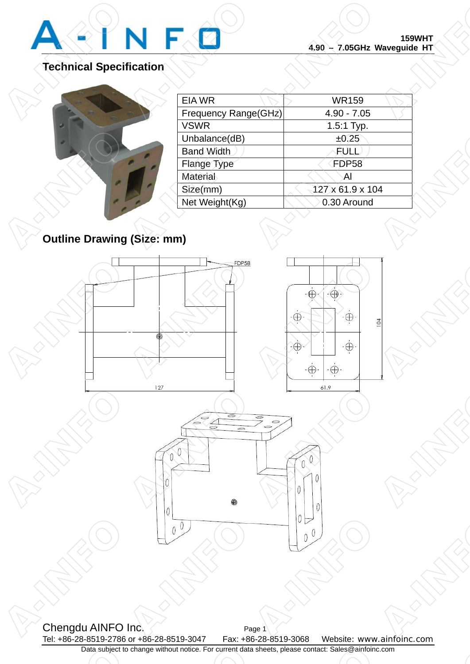

**CALLES REPAIR** 

**P-INFORMATION** 

## **Technical Specification**

| <b>Outline Drawing (Size: n</b> |
|---------------------------------|

|          |                      | <b>159WHT</b><br>4.90 - 7.05GHz Waveguide HT |  |
|----------|----------------------|----------------------------------------------|--|
| fication |                      |                                              |  |
|          | <b>EIA WR</b>        | <b>WR159</b>                                 |  |
|          | Frequency Range(GHz) | $4.90 - 7.05$                                |  |
|          | <b>VSWR</b>          | 1.5:1 Typ.                                   |  |
|          | Unbalance(dB)        | ±0.25                                        |  |
|          | <b>Band Width</b>    | FULL                                         |  |
|          | Flange Type          | <b>FDP58</b>                                 |  |
|          | <b>Material</b>      | Al                                           |  |
|          | Size(mm)             | 127 x 61.9 x 104                             |  |
|          | Net Weight(Kg)       | 0.30 Around                                  |  |

## **Outline Drawing (Size: mm)**



Chengdu AINFO Inc. Page 1 Tel: +86-28-8519-2786 or +86-28-8519-3047 Fax: +86-28-8519-3068 Website: www.ainfoinc.com Data subject to change without notice. For current data sheets, please contact: Sales@ainfoinc.com Chengdu AINFO In Page A-INFO **A-INFORMATION** Data subject to c o change without notice. For current data sl a sheets, please contact: Sales@ainfoinc.c  $\frac{1}{\sqrt{1-\frac{1}{\sqrt{1-\frac{1}{\sqrt{1-\frac{1}{\sqrt{1-\frac{1}{\sqrt{1-\frac{1}{\sqrt{1-\frac{1}{\sqrt{1-\frac{1}{\sqrt{1-\frac{1}{\sqrt{1-\frac{1}{\sqrt{1-\frac{1}{\sqrt{1-\frac{1}{\sqrt{1-\frac{1}{\sqrt{1-\frac{1}{\sqrt{1-\frac{1}{\sqrt{1-\frac{1}{\sqrt{1-\frac{1}{\sqrt{1-\frac{1}{\sqrt{1-\frac{1}{\sqrt{1-\frac{1}{\sqrt{1-\frac{1}{\sqrt{1-\frac{1}{\sqrt{1-\frac{1}{\sqrt{1-\frac{1}{\sqrt{1-\frac{1$